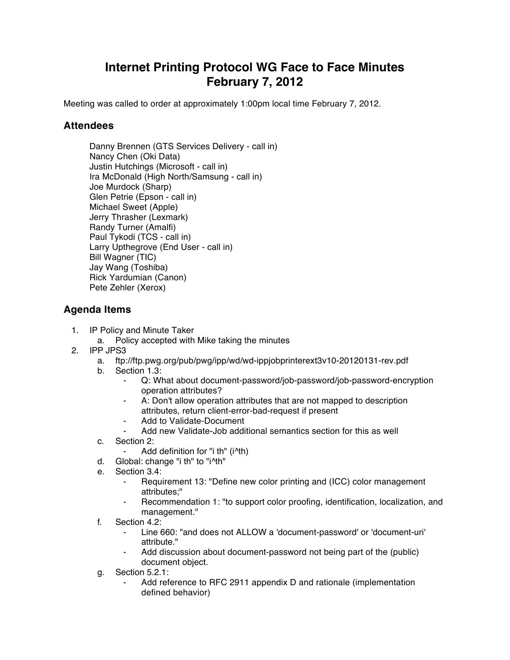## **Internet Printing Protocol WG Face to Face Minutes February 7, 2012**

Meeting was called to order at approximately 1:00pm local time February 7, 2012.

## **Attendees**

Danny Brennen (GTS Services Delivery - call in) Nancy Chen (Oki Data) Justin Hutchings (Microsoft - call in) Ira McDonald (High North/Samsung - call in) Joe Murdock (Sharp) Glen Petrie (Epson - call in) Michael Sweet (Apple) Jerry Thrasher (Lexmark) Randy Turner (Amalfi) Paul Tykodi (TCS - call in) Larry Upthegrove (End User - call in) Bill Wagner (TIC) Jay Wang (Toshiba) Rick Yardumian (Canon) Pete Zehler (Xerox)

## **Agenda Items**

- 1. IP Policy and Minute Taker
	- Policy accepted with Mike taking the minutes
- 2. IPP JPS3
	- a. ftp://ftp.pwg.org/pub/pwg/ipp/wd/wd-ippjobprinterext3v10-20120131-rev.pdf
	- b. Section 1.3:
		- Q: What about document-password/job-password/job-password-encryption operation attributes?
		- A: Don't allow operation attributes that are not mapped to description attributes, return client-error-bad-request if present
		- Add to Validate-Document
		- Add new Validate-Job additional semantics section for this as well
	- c. Section 2:
		- ⁃ Add definition for "i th" (i^th)
	- d. Global: change "i th" to "i^th"
	- e. Section 3.4:
		- ⁃ Requirement 13: "Define new color printing and (ICC) color management attributes;"
		- Recommendation 1: "to support color proofing, identification, localization, and management."
	- f. Section 4.2:
		- ⁃ Line 660: "and does not ALLOW a 'document-password' or 'document-uri' attribute."
		- Add discussion about document-password not being part of the (public) document object.
	- g. Section 5.2.1:
		- ⁃ Add reference to RFC 2911 appendix D and rationale (implementation defined behavior)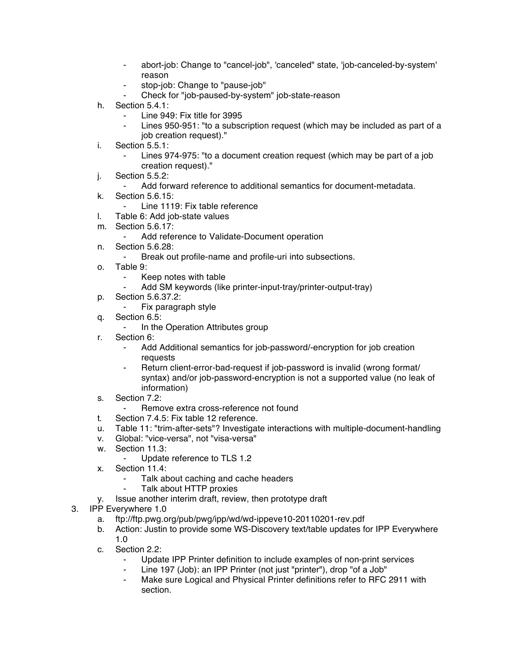- ⁃ abort-job: Change to "cancel-job", 'canceled" state, 'job-canceled-by-system' reason
- ⁃ stop-job: Change to "pause-job"
- Check for "job-paused-by-system" job-state-reason
- h. Section 5.4.1:
	- Line 949: Fix title for 3995
	- Lines 950-951: "to a subscription request (which may be included as part of a job creation request)."
- i. Section 5.5.1:
	- Lines 974-975: "to a document creation request (which may be part of a job creation request)."
- j. Section 5.5.2:
	- Add forward reference to additional semantics for document-metadata.
- k. Section 5.6.15:
	- Line 1119: Fix table reference
- l. Table 6: Add job-state values
- m. Section 5.6.17:
	- Add reference to Validate-Document operation
- n. Section 5.6.28:
	- ⁃ Break out profile-name and profile-uri into subsections.
- o. Table 9:
	- ⁃ Keep notes with table
	- Add SM keywords (like printer-input-tray/printer-output-tray)
- p. Section 5.6.37.2:
	- Fix paragraph style
- q. Section 6.5:
	- ⁃ In the Operation Attributes group
- r. Section 6:
	- ⁃ Add Additional semantics for job-password/-encryption for job creation requests
	- Return client-error-bad-request if job-password is invalid (wrong format/ syntax) and/or job-password-encryption is not a supported value (no leak of information)
- s. Section 7.2:
	- Remove extra cross-reference not found
- t. Section 7.4.5: Fix table 12 reference.
- u. Table 11: "trim-after-sets"? Investigate interactions with multiple-document-handling
- v. Global: "vice-versa", not "visa-versa"
- w. Section 11.3:
	- Update reference to TLS 1.2
- x. Section 11.4:
	- Talk about caching and cache headers
	- ⁃ Talk about HTTP proxies
- y. Issue another interim draft, review, then prototype draft
- 3. IPP Everywhere 1.0
	- a. ftp://ftp.pwg.org/pub/pwg/ipp/wd/wd-ippeve10-20110201-rev.pdf
	- b. Action: Justin to provide some WS-Discovery text/table updates for IPP Everywhere 1.0
	- c. Section 2.2:
		- Update IPP Printer definition to include examples of non-print services
		- Line 197 (Job); an IPP Printer (not just "printer"), drop "of a Job"
		- Make sure Logical and Physical Printer definitions refer to RFC 2911 with section.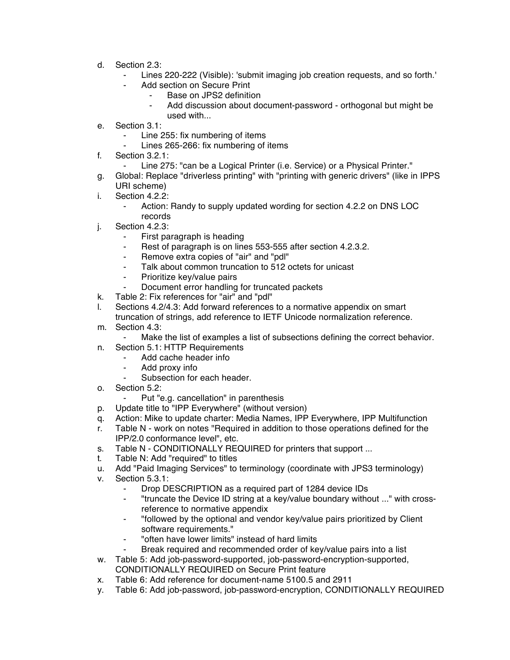- d. Section 2.3:
	- Lines 220-222 (Visible): 'submit imaging job creation requests, and so forth.'
	- Add section on Secure Print
		- Base on JPS2 definition
		- Add discussion about document-password orthogonal but might be used with...
- e. Section 3.1:
	- Line 255: fix numbering of items
	- Lines 265-266: fix numbering of items
- f. Section 3.2.1:
	- Line 275: "can be a Logical Printer (i.e. Service) or a Physical Printer."
- g. Global: Replace "driverless printing" with "printing with generic drivers" (like in IPPS URI scheme)
- i. Section 4.2.2:
	- Action: Randy to supply updated wording for section 4.2.2 on DNS LOC records
- j. Section 4.2.3:
	- First paragraph is heading
	- Rest of paragraph is on lines 553-555 after section 4.2.3.2.
	- ⁃ Remove extra copies of "air" and "pdl"
	- Talk about common truncation to 512 octets for unicast
	- Prioritize key/value pairs
	- ⁃ Document error handling for truncated packets
- k. Table 2: Fix references for "air" and "pdl"
- l. Sections 4.2/4.3: Add forward references to a normative appendix on smart truncation of strings, add reference to IETF Unicode normalization reference.
- m. Section 4.3:
	- Make the list of examples a list of subsections defining the correct behavior.
- n. Section 5.1: HTTP Requirements
	- ⁃ Add cache header info
	- Add proxy info
	- Subsection for each header.
- $\Omega$ . Section 5.2:
	- ⁃ Put "e.g. cancellation" in parenthesis
- p. Update title to "IPP Everywhere" (without version)
- q. Action: Mike to update charter: Media Names, IPP Everywhere, IPP Multifunction
- r. Table N work on notes "Required in addition to those operations defined for the IPP/2.0 conformance level", etc.
- s. Table N CONDITIONALLY REQUIRED for printers that support ...
- t. Table N: Add "required" to titles
- u. Add "Paid Imaging Services" to terminology (coordinate with JPS3 terminology)
- v. Section 5.3.1:
	- ⁃ Drop DESCRIPTION as a required part of 1284 device IDs
	- ⁃ "truncate the Device ID string at a key/value boundary without ..." with crossreference to normative appendix
	- ⁃ "followed by the optional and vendor key/value pairs prioritized by Client software requirements."
	- ⁃ "often have lower limits" instead of hard limits
	- Break required and recommended order of key/value pairs into a list
- w. Table 5: Add job-password-supported, job-password-encryption-supported, CONDITIONALLY REQUIRED on Secure Print feature
- x. Table 6: Add reference for document-name 5100.5 and 2911
- y. Table 6: Add job-password, job-password-encryption, CONDITIONALLY REQUIRED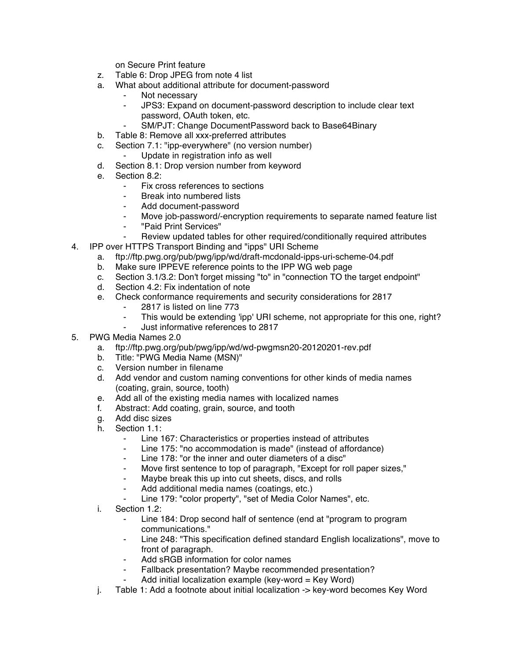on Secure Print feature

- z. Table 6: Drop JPEG from note 4 list
- a. What about additional attribute for document-password
	- Not necessary
	- JPS3: Expand on document-password description to include clear text password, OAuth token, etc.
	- SM/PJT: Change DocumentPassword back to Base64Binary
- b. Table 8: Remove all xxx-preferred attributes
- c. Section 7.1: "ipp-everywhere" (no version number)
	- ⁃ Update in registration info as well
- d. Section 8.1: Drop version number from keyword
- e. Section 8.2:
	- Fix cross references to sections
	- ⁃ Break into numbered lists
	- Add document-password
	- Move job-password/-encryption requirements to separate named feature list
	- ⁃ "Paid Print Services"
	- Review updated tables for other required/conditionally required attributes
- 4. IPP over HTTPS Transport Binding and "ipps" URI Scheme
	- a. ftp://ftp.pwg.org/pub/pwg/ipp/wd/draft-mcdonald-ipps-uri-scheme-04.pdf
	- b. Make sure IPPEVE reference points to the IPP WG web page
	- c. Section 3.1/3.2: Don't forget missing "to" in "connection TO the target endpoint"
	- d. Section 4.2: Fix indentation of note
	- e. Check conformance requirements and security considerations for 2817
		- ⁃ 2817 is listed on line 773
		- This would be extending 'ipp' URI scheme, not appropriate for this one, right?
		- Just informative references to 2817
- 5. PWG Media Names 2.0
	- a. ftp://ftp.pwg.org/pub/pwg/ipp/wd/wd-pwgmsn20-20120201-rev.pdf
	- b. Title: "PWG Media Name (MSN)"
	- c. Version number in filename
	- d. Add vendor and custom naming conventions for other kinds of media names (coating, grain, source, tooth)
	- e. Add all of the existing media names with localized names
	- f. Abstract: Add coating, grain, source, and tooth
	- g. Add disc sizes
	- h. Section 1.1:
		- Line 167: Characteristics or properties instead of attributes
		- ⁃ Line 175: "no accommodation is made" (instead of affordance)
		- Line 178: "or the inner and outer diameters of a disc"
		- Move first sentence to top of paragraph, "Except for roll paper sizes,"
		- Maybe break this up into cut sheets, discs, and rolls
		- Add additional media names (coatings, etc.)
		- ⁃ Line 179: "color property", "set of Media Color Names", etc.
	- i. Section 1.2:
		- Line 184: Drop second half of sentence (end at "program to program communications."
		- Line 248: "This specification defined standard English localizations", move to front of paragraph.
		- Add sRGB information for color names
		- ⁃ Fallback presentation? Maybe recommended presentation?
			- Add initial localization example (key-word  $=$  Key Word)
	- j. Table 1: Add a footnote about initial localization -> key-word becomes Key Word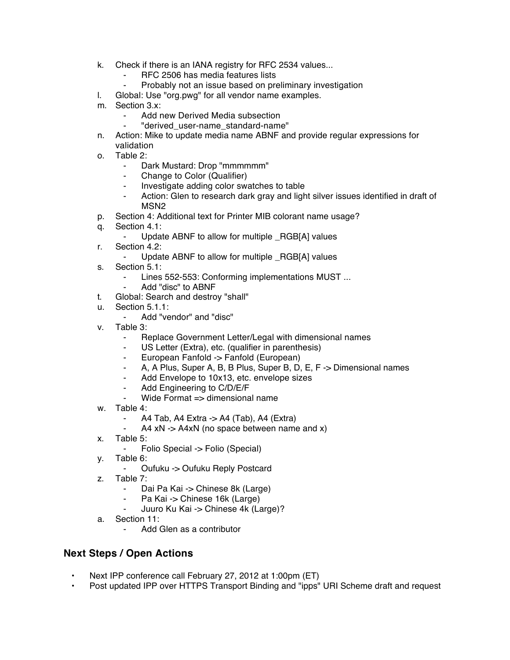- k. Check if there is an IANA registry for RFC 2534 values...
	- FRFC 2506 has media features lists<br>FREE Repressive has in the Probably not an issue based on pro-
	- Probably not an issue based on preliminary investigation
- l. Global: Use "org.pwg" for all vendor name examples.
- m. Section 3.x:
	- Add new Derived Media subsection
	- "derived user-name standard-name"
- n. Action: Mike to update media name ABNF and provide regular expressions for validation
- o. Table 2:
	- ⁃ Dark Mustard: Drop "mmmmmm"
	- Change to Color (Qualifier)
	- ⁃ Investigate adding color swatches to table
	- ⁃ Action: Glen to research dark gray and light silver issues identified in draft of MSN2
- p. Section 4: Additional text for Printer MIB colorant name usage?
- q. Section 4.1:
	- Update ABNF to allow for multiple RGB[A] values
- r. Section 4.2:
	- ⁃ Update ABNF to allow for multiple \_RGB[A] values
- s. Section 5.1:
	- Lines 552-553: Conforming implementations MUST ...
	- ⁃ Add "disc" to ABNF
- t. Global: Search and destroy "shall"
- u. Section 5.1.1:
	- ⁃ Add "vendor" and "disc"
- v. Table 3:
	- ⁃ Replace Government Letter/Legal with dimensional names
	- US Letter (Extra), etc. (qualifier in parenthesis)
	- ⁃ European Fanfold -> Fanfold (European)
	- A, A Plus, Super A, B, B Plus, Super B, D, E, F -> Dimensional names
	- Add Envelope to 10x13, etc. envelope sizes
	- Add Engineering to C/D/E/F
	- ⁃ Wide Format => dimensional name
- w. Table 4:
	- A4 Tab, A4 Extra -> A4 (Tab), A4 (Extra)<br>- A4 xN -> A4xN (no space between name
		- A4  $xN \rightarrow A4xN$  (no space between name and x)
- x. Table 5:
	- ⁃ Folio Special -> Folio (Special)
- y. Table 6:
	- ⁃ Oufuku -> Oufuku Reply Postcard
- z. Table 7:
	- Dai Pa Kai -> Chinese 8k (Large)
	- ⁃ Pa Kai -> Chinese 16k (Large)
	- Juuro Ku Kai -> Chinese 4k (Large)?
- a. Section 11:
	- Add Glen as a contributor

## **Next Steps / Open Actions**

- Next IPP conference call February 27, 2012 at 1:00pm (ET)
- Post updated IPP over HTTPS Transport Binding and "ipps" URI Scheme draft and request